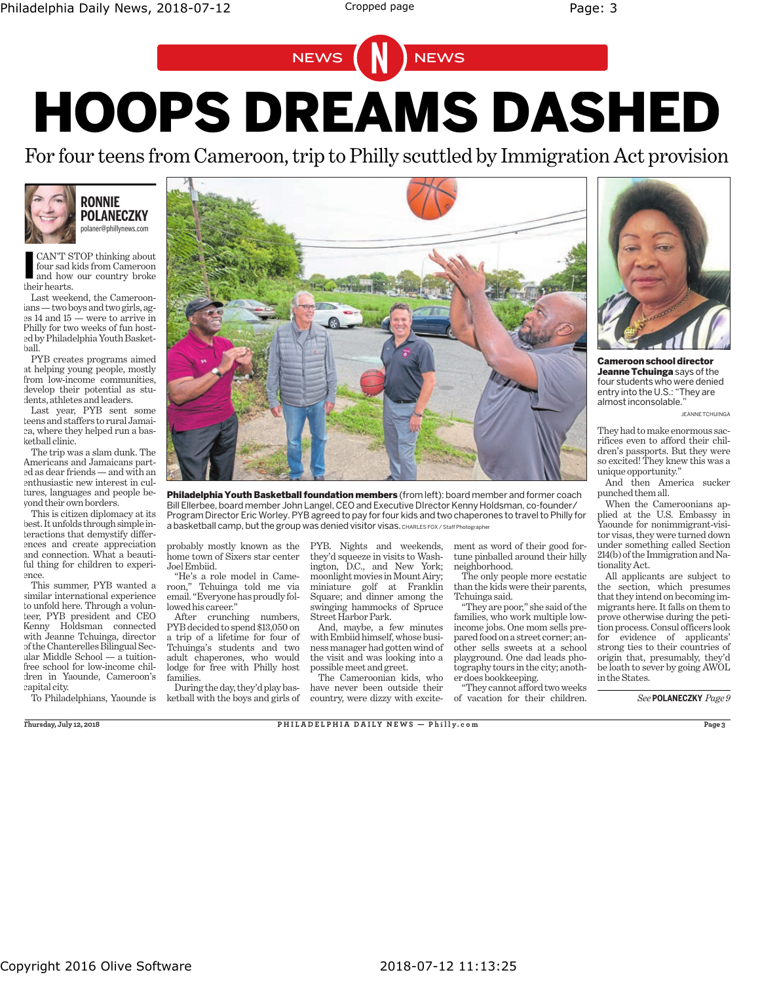## HOOPS DREAMS DASHED NEWS NEWS

For four teens from Cameroon, trip to Philly scuttled by Immigration Act provision



CAN'T STOP thinking about polaner@phillynews.com

CAN'T S<br>four sad l<br>and how<br>their hearts. four sad kids from Cameroon and how our country broke

Last weekend, the Cameroonians—two boys andtwo girls, ages 14 and 15 — were to arrive in Philly for two weeks of fun hosted byPhiladelphia Youth Basketball.

PYB creates programs aimed at helping young people, mostly from low-income communities, develop their potential as students, athletes and leaders.

Last year, PYB sent some teens and staffers to rural Jamaica, where they helped run a basketball clinic.

The trip was a slam dunk. The Americans and Jamaicans parted as dear friends — and with an enthusiastic new interest in cultures, languages and people beyond their own borders.

This is citizen diplomacy at its best. It unfolds through simple interactions that demystify differences and create appreciation and connection. What a beautiful thing for children to experience.

This summer, PYB wanted a similar international experience to unfold here. Through a volunteer, PYB president and CEO Kenny Holdsman connected with Jeanne Tchuinga, director of the Chanterelles Bilingual Secular Middle School — a tuitionfree school for low-income children in Yaounde, Cameroon's capital city.



Philadelphia Youth Basketball foundation members (from left): board member and former coach Bill Ellerbee, board member John Langel, CEO and Executive DIrector Kenny Holdsman, co-founder/ Program Director Eric Worley. PYB agreed to pay for four kids and two chaperones to travel to Philly for a basketball camp, but the group was denied visitor visas. CHARLES FOX / Staff Photographer

probably mostly known as the home town of Sixers star center Joel Embiid.

"He's a role model in Cameroon," Tchuinga told me via email. "Everyone has proudly followed his career."

After crunching numbers, PYB decided to spend \$13,050 on a trip of a lifetime for four of Tchuinga's students and two adult chaperones, who would lodge for free with Philly host families.

To Philadelphians, Yaounde is ketball with the boys and girls of During the day, they'd play basPYB. Nights and weekends, they'd squeeze in visits to Washington, D.C., and New York; moonlight movies inMount Airy; miniature golf at Franklin Square; and dinner among the swinging hammocks of Spruce Street Harbor Park.

And, maybe, a few minutes with Embiid himself, whose business manager had gotten wind of the visit and was looking into a possible meet and greet.

The Cameroonian kids, who have never been outside their country, were dizzy with excitement as word of their good fortune pinballed around their hilly neighborhood.

The only people more ecstatic than the kids were their parents, Tchuinga said.

"They are poor," she said of the families, who work multiple lowincome jobs. One mom sells prepared food on a street corner; another sells sweets at a school playground. One dad leads photography tours in the city; another does bookkeeping.

"They cannot afford twoweeks of vacation for their children.



Cameroon school director Jeanne Tchuinga says of the four students who were denied entry into the U.S.: "They are almost inconsolable.

JEANNE TCHUINGA

They had to make enormous sacrifices even to afford their children's passports. But they were so excited! They knew this was a unique opportunity."

And then America sucker punched them all.

When the Cameroonians applied at the U.S. Embassy in Yaounde for nonimmigrant-visitor visas, they were turned down under something called Section 214(b) of the Immigration and Nationality Act.

All applicants are subject to the section, which presumes that they intend on becoming immigrants here. It falls on them to prove otherwise during the petition process. Consul officers look for evidence of applicants' strong ties to their countries of origin that, presumably, they'd be loath to sever by going AWOL in the States.

*See* **POLANECZKY** *Page 9*

**PHILADELPHIA** DAILY NEWS - Philly.com Page 3